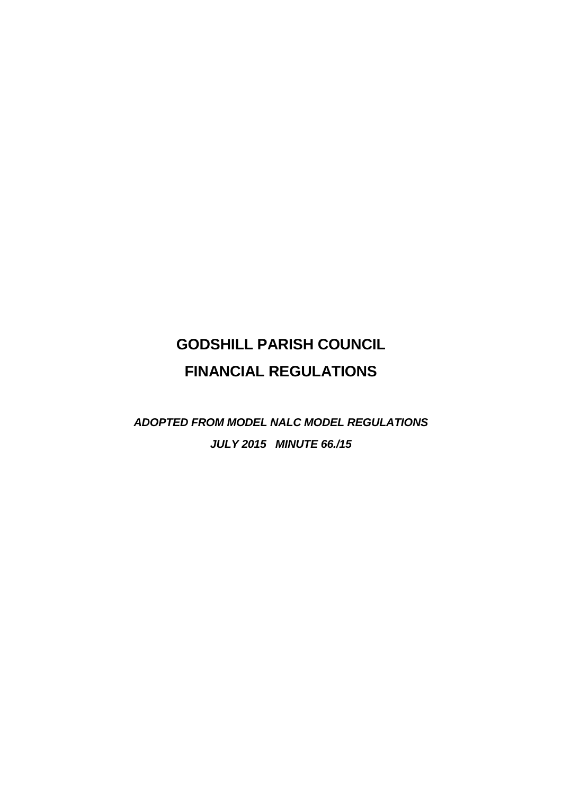# **GODSHILL PARISH COUNCIL FINANCIAL REGULATIONS**

*ADOPTED FROM MODEL NALC MODEL REGULATIONS JULY 2015 MINUTE 66./15*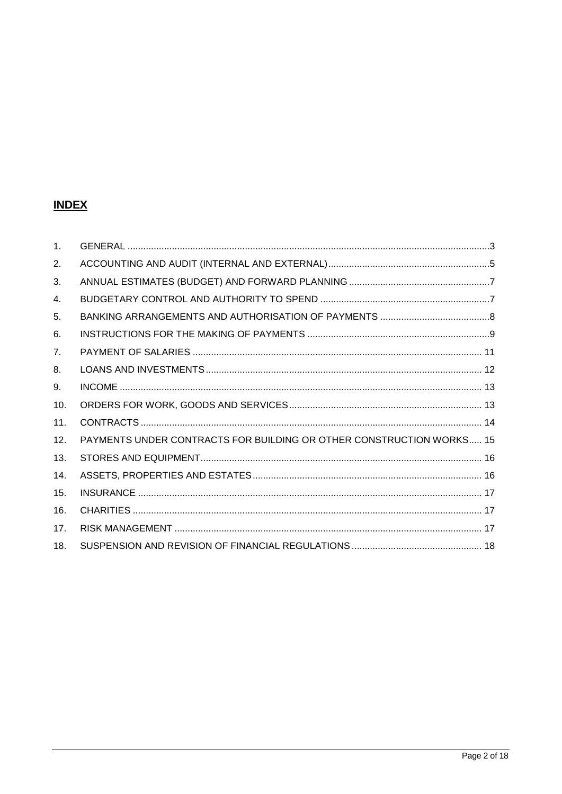# **INDEX**

| $\mathbf{1}$ . |                                                                      |  |
|----------------|----------------------------------------------------------------------|--|
| 2.             |                                                                      |  |
| 3.             |                                                                      |  |
| 4.             |                                                                      |  |
| 5.             |                                                                      |  |
| 6.             |                                                                      |  |
| 7 <sub>1</sub> |                                                                      |  |
| 8.             |                                                                      |  |
| 9.             |                                                                      |  |
| 10.            |                                                                      |  |
| 11.            |                                                                      |  |
| 12.            | PAYMENTS UNDER CONTRACTS FOR BUILDING OR OTHER CONSTRUCTION WORKS 15 |  |
| 13.            |                                                                      |  |
| 14.            |                                                                      |  |
| 15.            |                                                                      |  |
| 16.            |                                                                      |  |
| 17.            |                                                                      |  |
| 18.            |                                                                      |  |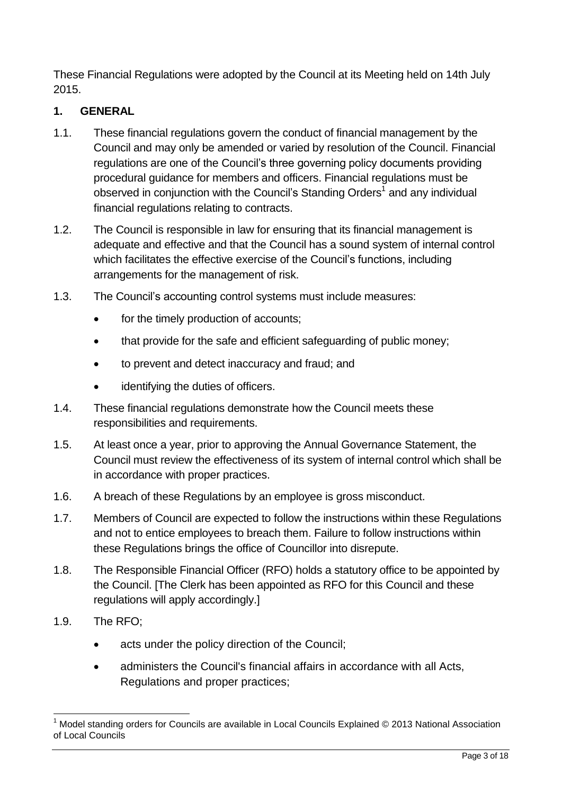These Financial Regulations were adopted by the Council at its Meeting held on 14th July 2015.

# <span id="page-2-0"></span>**1. GENERAL**

- 1.1. These financial regulations govern the conduct of financial management by the Council and may only be amended or varied by resolution of the Council. Financial regulations are one of the Council's three governing policy documents providing procedural guidance for members and officers. Financial regulations must be observed in conjunction with the Council's Standing Orders<sup>1</sup> and any individual financial regulations relating to contracts.
- 1.2. The Council is responsible in law for ensuring that its financial management is adequate and effective and that the Council has a sound system of internal control which facilitates the effective exercise of the Council's functions, including arrangements for the management of risk.
- 1.3. The Council's accounting control systems must include measures:
	- for the timely production of accounts;
	- that provide for the safe and efficient safeguarding of public money;
	- to prevent and detect inaccuracy and fraud; and
	- identifying the duties of officers.
- 1.4. These financial regulations demonstrate how the Council meets these responsibilities and requirements.
- 1.5. At least once a year, prior to approving the Annual Governance Statement, the Council must review the effectiveness of its system of internal control which shall be in accordance with proper practices.
- 1.6. A breach of these Regulations by an employee is gross misconduct.
- 1.7. Members of Council are expected to follow the instructions within these Regulations and not to entice employees to breach them. Failure to follow instructions within these Regulations brings the office of Councillor into disrepute.
- 1.8. The Responsible Financial Officer (RFO) holds a statutory office to be appointed by the Council. [The Clerk has been appointed as RFO for this Council and these regulations will apply accordingly.]
- 1.9. The RFO;

<u>.</u>

- acts under the policy direction of the Council;
- administers the Council's financial affairs in accordance with all Acts, Regulations and proper practices;

Model standing orders for Councils are available in Local Councils Explained © 2013 National Association of Local Councils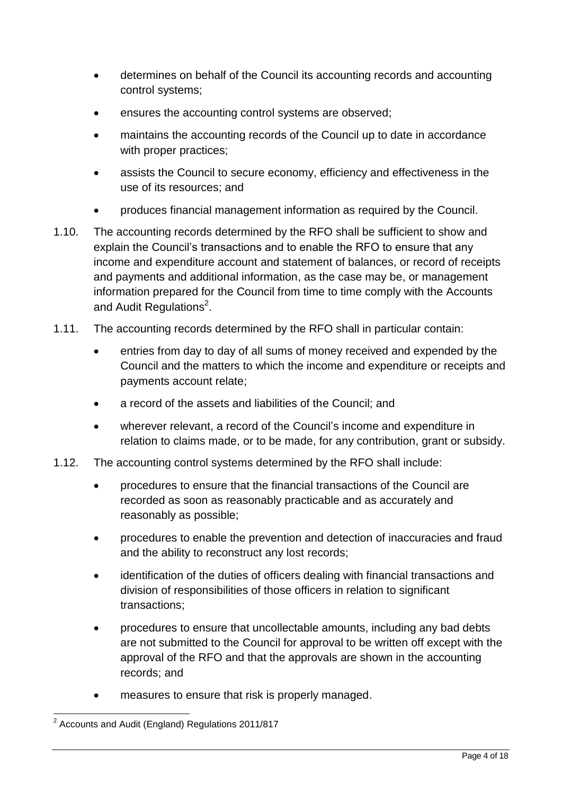- determines on behalf of the Council its accounting records and accounting control systems;
- ensures the accounting control systems are observed;
- maintains the accounting records of the Council up to date in accordance with proper practices;
- assists the Council to secure economy, efficiency and effectiveness in the use of its resources; and
- produces financial management information as required by the Council.
- 1.10. The accounting records determined by the RFO shall be sufficient to show and explain the Council's transactions and to enable the RFO to ensure that any income and expenditure account and statement of balances, or record of receipts and payments and additional information, as the case may be, or management information prepared for the Council from time to time comply with the Accounts and Audit Regulations<sup>2</sup>.
- 1.11. The accounting records determined by the RFO shall in particular contain:
	- entries from day to day of all sums of money received and expended by the Council and the matters to which the income and expenditure or receipts and payments account relate;
	- a record of the assets and liabilities of the Council; and
	- wherever relevant, a record of the Council's income and expenditure in relation to claims made, or to be made, for any contribution, grant or subsidy.
- 1.12. The accounting control systems determined by the RFO shall include:
	- procedures to ensure that the financial transactions of the Council are recorded as soon as reasonably practicable and as accurately and reasonably as possible;
	- procedures to enable the prevention and detection of inaccuracies and fraud and the ability to reconstruct any lost records;
	- identification of the duties of officers dealing with financial transactions and division of responsibilities of those officers in relation to significant transactions;
	- procedures to ensure that uncollectable amounts, including any bad debts are not submitted to the Council for approval to be written off except with the approval of the RFO and that the approvals are shown in the accounting records; and
	- measures to ensure that risk is properly managed.

 2 Accounts and Audit (England) Regulations 2011/817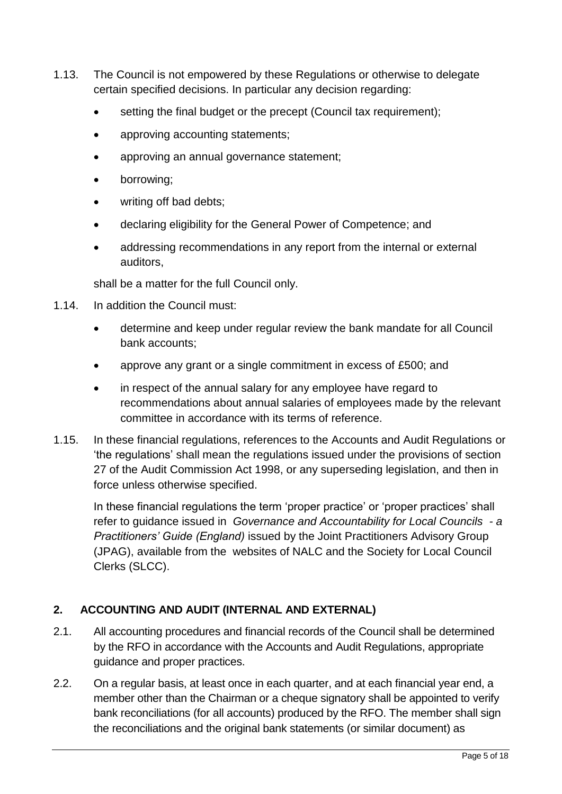- 1.13. The Council is not empowered by these Regulations or otherwise to delegate certain specified decisions. In particular any decision regarding:
	- setting the final budget or the precept (Council tax requirement);
	- approving accounting statements;
	- approving an annual governance statement;
	- borrowing;
	- writing off bad debts;
	- declaring eligibility for the General Power of Competence; and
	- addressing recommendations in any report from the internal or external auditors,

shall be a matter for the full Council only.

- 1.14. In addition the Council must:
	- determine and keep under regular review the bank mandate for all Council bank accounts;
	- approve any grant or a single commitment in excess of £500; and
	- in respect of the annual salary for any employee have regard to recommendations about annual salaries of employees made by the relevant committee in accordance with its terms of reference.
- 1.15. In these financial regulations, references to the Accounts and Audit Regulations or 'the regulations' shall mean the regulations issued under the provisions of section 27 of the Audit Commission Act 1998, or any superseding legislation, and then in force unless otherwise specified.

In these financial regulations the term 'proper practice' or 'proper practices' shall refer to guidance issued in *Governance and Accountability for Local Councils - a Practitioners' Guide (England)* issued by the Joint Practitioners Advisory Group (JPAG), available from the websites of NALC and the Society for Local Council Clerks (SLCC).

# <span id="page-4-0"></span>**2. ACCOUNTING AND AUDIT (INTERNAL AND EXTERNAL)**

- 2.1. All accounting procedures and financial records of the Council shall be determined by the RFO in accordance with the Accounts and Audit Regulations, appropriate guidance and proper practices.
- 2.2. On a regular basis, at least once in each quarter, and at each financial year end, a member other than the Chairman or a cheque signatory shall be appointed to verify bank reconciliations (for all accounts) produced by the RFO. The member shall sign the reconciliations and the original bank statements (or similar document) as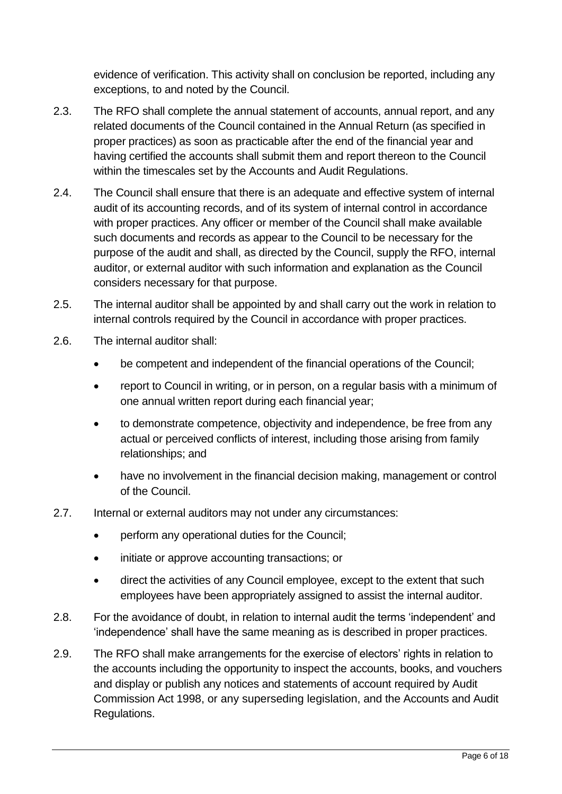evidence of verification. This activity shall on conclusion be reported, including any exceptions, to and noted by the Council.

- 2.3. The RFO shall complete the annual statement of accounts, annual report, and any related documents of the Council contained in the Annual Return (as specified in proper practices) as soon as practicable after the end of the financial year and having certified the accounts shall submit them and report thereon to the Council within the timescales set by the Accounts and Audit Regulations.
- 2.4. The Council shall ensure that there is an adequate and effective system of internal audit of its accounting records, and of its system of internal control in accordance with proper practices. Any officer or member of the Council shall make available such documents and records as appear to the Council to be necessary for the purpose of the audit and shall, as directed by the Council, supply the RFO, internal auditor, or external auditor with such information and explanation as the Council considers necessary for that purpose.
- 2.5. The internal auditor shall be appointed by and shall carry out the work in relation to internal controls required by the Council in accordance with proper practices.
- 2.6. The internal auditor shall:
	- be competent and independent of the financial operations of the Council;
	- report to Council in writing, or in person, on a regular basis with a minimum of one annual written report during each financial year;
	- to demonstrate competence, objectivity and independence, be free from any actual or perceived conflicts of interest, including those arising from family relationships; and
	- have no involvement in the financial decision making, management or control of the Council.
- 2.7. Internal or external auditors may not under any circumstances:
	- perform any operational duties for the Council;
	- initiate or approve accounting transactions; or
	- direct the activities of any Council employee, except to the extent that such employees have been appropriately assigned to assist the internal auditor.
- 2.8. For the avoidance of doubt, in relation to internal audit the terms 'independent' and 'independence' shall have the same meaning as is described in proper practices.
- 2.9. The RFO shall make arrangements for the exercise of electors' rights in relation to the accounts including the opportunity to inspect the accounts, books, and vouchers and display or publish any notices and statements of account required by Audit Commission Act 1998, or any superseding legislation, and the Accounts and Audit Regulations.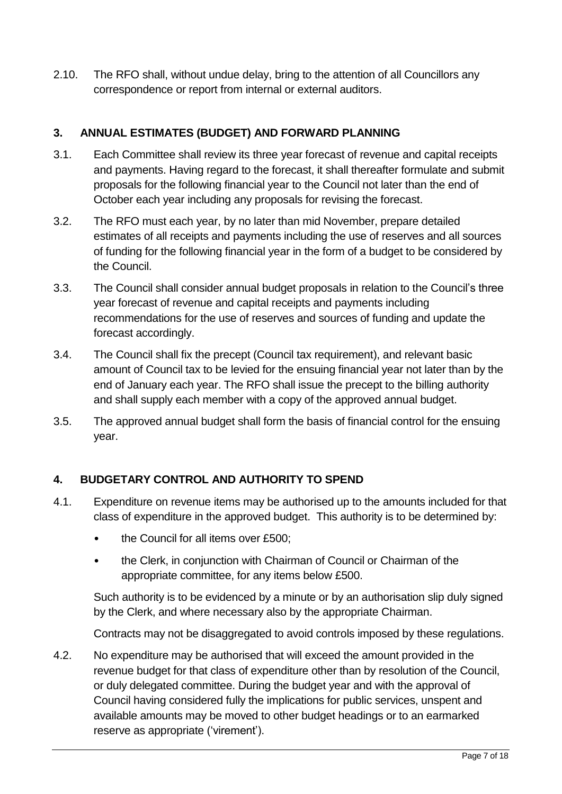2.10. The RFO shall, without undue delay, bring to the attention of all Councillors any correspondence or report from internal or external auditors.

# <span id="page-6-0"></span>**3. ANNUAL ESTIMATES (BUDGET) AND FORWARD PLANNING**

- 3.1. Each Committee shall review its three year forecast of revenue and capital receipts and payments. Having regard to the forecast, it shall thereafter formulate and submit proposals for the following financial year to the Council not later than the end of October each year including any proposals for revising the forecast.
- 3.2. The RFO must each year, by no later than mid November, prepare detailed estimates of all receipts and payments including the use of reserves and all sources of funding for the following financial year in the form of a budget to be considered by the Council.
- 3.3. The Council shall consider annual budget proposals in relation to the Council's three year forecast of revenue and capital receipts and payments including recommendations for the use of reserves and sources of funding and update the forecast accordingly.
- 3.4. The Council shall fix the precept (Council tax requirement), and relevant basic amount of Council tax to be levied for the ensuing financial year not later than by the end of January each year. The RFO shall issue the precept to the billing authority and shall supply each member with a copy of the approved annual budget.
- 3.5. The approved annual budget shall form the basis of financial control for the ensuing year.

# <span id="page-6-1"></span>**4. BUDGETARY CONTROL AND AUTHORITY TO SPEND**

- 4.1. Expenditure on revenue items may be authorised up to the amounts included for that class of expenditure in the approved budget. This authority is to be determined by:
	- the Council for all items over £500;
	- the Clerk, in conjunction with Chairman of Council or Chairman of the appropriate committee, for any items below £500.

Such authority is to be evidenced by a minute or by an authorisation slip duly signed by the Clerk, and where necessary also by the appropriate Chairman.

Contracts may not be disaggregated to avoid controls imposed by these regulations.

4.2. No expenditure may be authorised that will exceed the amount provided in the revenue budget for that class of expenditure other than by resolution of the Council, or duly delegated committee. During the budget year and with the approval of Council having considered fully the implications for public services, unspent and available amounts may be moved to other budget headings or to an earmarked reserve as appropriate ('virement').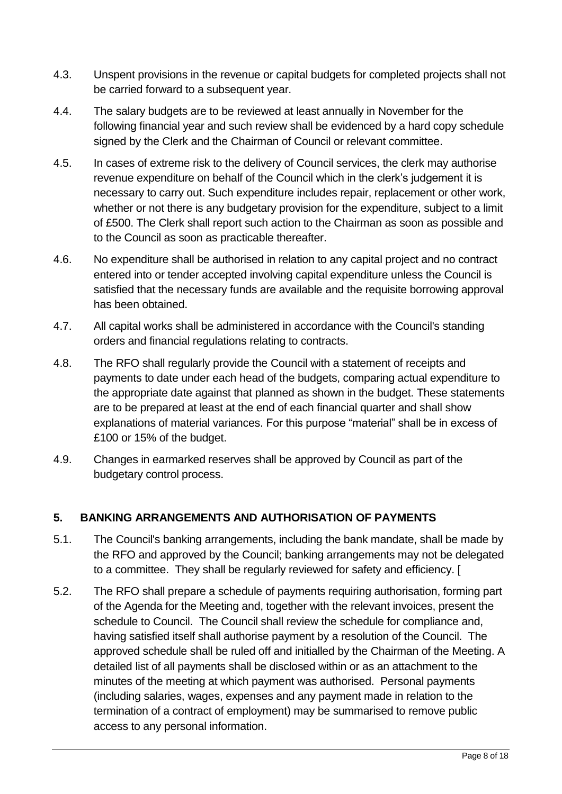- 4.3. Unspent provisions in the revenue or capital budgets for completed projects shall not be carried forward to a subsequent year.
- 4.4. The salary budgets are to be reviewed at least annually in November for the following financial year and such review shall be evidenced by a hard copy schedule signed by the Clerk and the Chairman of Council or relevant committee.
- 4.5. In cases of extreme risk to the delivery of Council services, the clerk may authorise revenue expenditure on behalf of the Council which in the clerk's judgement it is necessary to carry out. Such expenditure includes repair, replacement or other work, whether or not there is any budgetary provision for the expenditure, subject to a limit of £500. The Clerk shall report such action to the Chairman as soon as possible and to the Council as soon as practicable thereafter.
- 4.6. No expenditure shall be authorised in relation to any capital project and no contract entered into or tender accepted involving capital expenditure unless the Council is satisfied that the necessary funds are available and the requisite borrowing approval has been obtained.
- 4.7. All capital works shall be administered in accordance with the Council's standing orders and financial regulations relating to contracts.
- 4.8. The RFO shall regularly provide the Council with a statement of receipts and payments to date under each head of the budgets, comparing actual expenditure to the appropriate date against that planned as shown in the budget. These statements are to be prepared at least at the end of each financial quarter and shall show explanations of material variances. For this purpose "material" shall be in excess of £100 or 15% of the budget.
- 4.9. Changes in earmarked reserves shall be approved by Council as part of the budgetary control process.

# <span id="page-7-0"></span>**5. BANKING ARRANGEMENTS AND AUTHORISATION OF PAYMENTS**

- 5.1. The Council's banking arrangements, including the bank mandate, shall be made by the RFO and approved by the Council; banking arrangements may not be delegated to a committee. They shall be regularly reviewed for safety and efficiency. [
- 5.2. The RFO shall prepare a schedule of payments requiring authorisation, forming part of the Agenda for the Meeting and, together with the relevant invoices, present the schedule to Council. The Council shall review the schedule for compliance and, having satisfied itself shall authorise payment by a resolution of the Council. The approved schedule shall be ruled off and initialled by the Chairman of the Meeting. A detailed list of all payments shall be disclosed within or as an attachment to the minutes of the meeting at which payment was authorised. Personal payments (including salaries, wages, expenses and any payment made in relation to the termination of a contract of employment) may be summarised to remove public access to any personal information.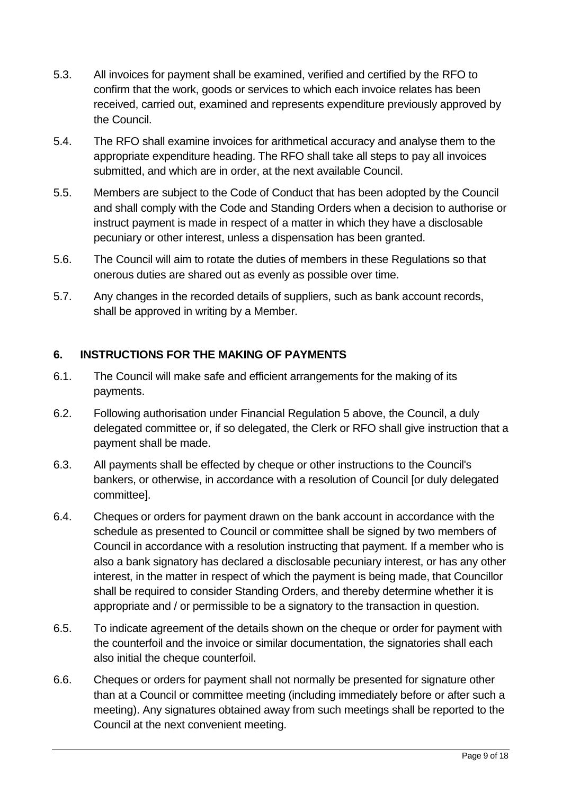- 5.3. All invoices for payment shall be examined, verified and certified by the RFO to confirm that the work, goods or services to which each invoice relates has been received, carried out, examined and represents expenditure previously approved by the Council.
- 5.4. The RFO shall examine invoices for arithmetical accuracy and analyse them to the appropriate expenditure heading. The RFO shall take all steps to pay all invoices submitted, and which are in order, at the next available Council.
- 5.5. Members are subject to the Code of Conduct that has been adopted by the Council and shall comply with the Code and Standing Orders when a decision to authorise or instruct payment is made in respect of a matter in which they have a disclosable pecuniary or other interest, unless a dispensation has been granted.
- 5.6. The Council will aim to rotate the duties of members in these Regulations so that onerous duties are shared out as evenly as possible over time.
- 5.7. Any changes in the recorded details of suppliers, such as bank account records, shall be approved in writing by a Member.

# <span id="page-8-0"></span>**6. INSTRUCTIONS FOR THE MAKING OF PAYMENTS**

- 6.1. The Council will make safe and efficient arrangements for the making of its payments.
- 6.2. Following authorisation under Financial Regulation 5 above, the Council, a duly delegated committee or, if so delegated, the Clerk or RFO shall give instruction that a payment shall be made.
- 6.3. All payments shall be effected by cheque or other instructions to the Council's bankers, or otherwise, in accordance with a resolution of Council [or duly delegated committee].
- 6.4. Cheques or orders for payment drawn on the bank account in accordance with the schedule as presented to Council or committee shall be signed by two members of Council in accordance with a resolution instructing that payment. If a member who is also a bank signatory has declared a disclosable pecuniary interest, or has any other interest, in the matter in respect of which the payment is being made, that Councillor shall be required to consider Standing Orders, and thereby determine whether it is appropriate and / or permissible to be a signatory to the transaction in question.
- 6.5. To indicate agreement of the details shown on the cheque or order for payment with the counterfoil and the invoice or similar documentation, the signatories shall each also initial the cheque counterfoil.
- 6.6. Cheques or orders for payment shall not normally be presented for signature other than at a Council or committee meeting (including immediately before or after such a meeting). Any signatures obtained away from such meetings shall be reported to the Council at the next convenient meeting.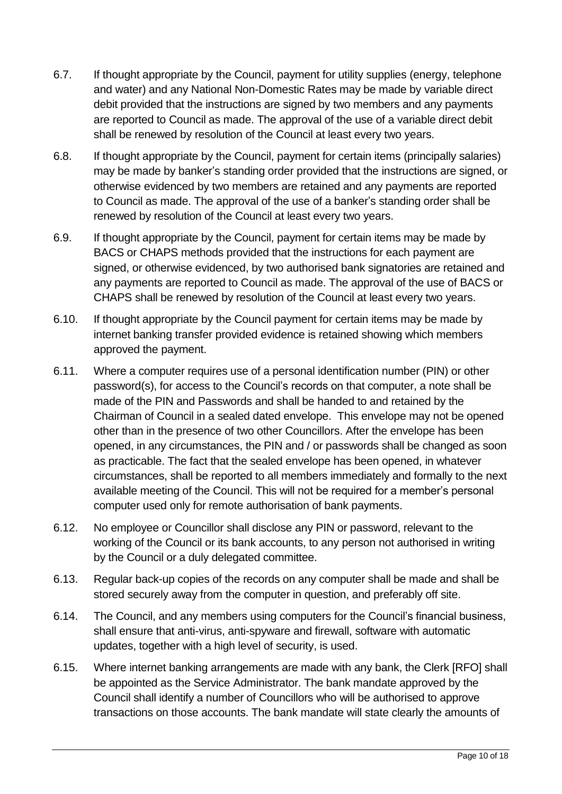- 6.7. If thought appropriate by the Council, payment for utility supplies (energy, telephone and water) and any National Non-Domestic Rates may be made by variable direct debit provided that the instructions are signed by two members and any payments are reported to Council as made. The approval of the use of a variable direct debit shall be renewed by resolution of the Council at least every two years.
- 6.8. If thought appropriate by the Council, payment for certain items (principally salaries) may be made by banker's standing order provided that the instructions are signed, or otherwise evidenced by two members are retained and any payments are reported to Council as made. The approval of the use of a banker's standing order shall be renewed by resolution of the Council at least every two years.
- 6.9. If thought appropriate by the Council, payment for certain items may be made by BACS or CHAPS methods provided that the instructions for each payment are signed, or otherwise evidenced, by two authorised bank signatories are retained and any payments are reported to Council as made. The approval of the use of BACS or CHAPS shall be renewed by resolution of the Council at least every two years.
- 6.10. If thought appropriate by the Council payment for certain items may be made by internet banking transfer provided evidence is retained showing which members approved the payment.
- 6.11. Where a computer requires use of a personal identification number (PIN) or other password(s), for access to the Council's records on that computer, a note shall be made of the PIN and Passwords and shall be handed to and retained by the Chairman of Council in a sealed dated envelope. This envelope may not be opened other than in the presence of two other Councillors. After the envelope has been opened, in any circumstances, the PIN and / or passwords shall be changed as soon as practicable. The fact that the sealed envelope has been opened, in whatever circumstances, shall be reported to all members immediately and formally to the next available meeting of the Council. This will not be required for a member's personal computer used only for remote authorisation of bank payments.
- 6.12. No employee or Councillor shall disclose any PIN or password, relevant to the working of the Council or its bank accounts, to any person not authorised in writing by the Council or a duly delegated committee.
- 6.13. Regular back-up copies of the records on any computer shall be made and shall be stored securely away from the computer in question, and preferably off site.
- 6.14. The Council, and any members using computers for the Council's financial business, shall ensure that anti-virus, anti-spyware and firewall, software with automatic updates, together with a high level of security, is used.
- 6.15. Where internet banking arrangements are made with any bank, the Clerk [RFO] shall be appointed as the Service Administrator. The bank mandate approved by the Council shall identify a number of Councillors who will be authorised to approve transactions on those accounts. The bank mandate will state clearly the amounts of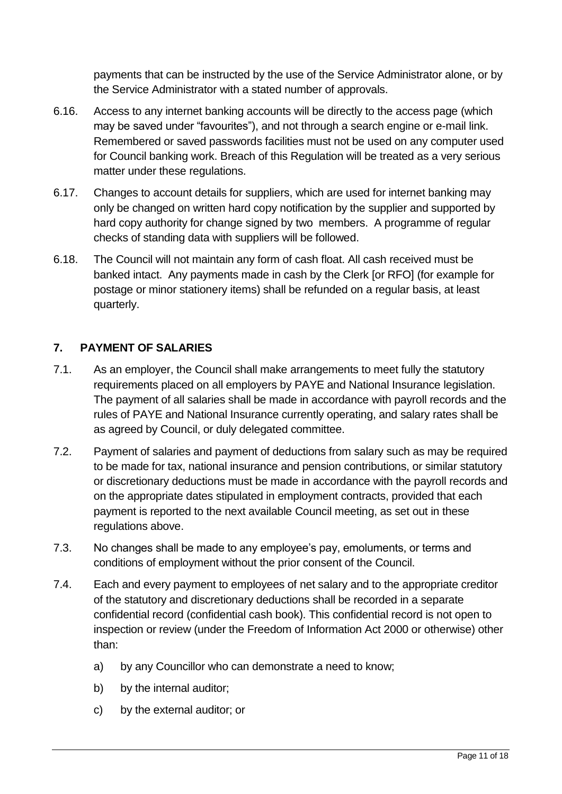payments that can be instructed by the use of the Service Administrator alone, or by the Service Administrator with a stated number of approvals.

- 6.16. Access to any internet banking accounts will be directly to the access page (which may be saved under "favourites"), and not through a search engine or e-mail link. Remembered or saved passwords facilities must not be used on any computer used for Council banking work. Breach of this Regulation will be treated as a very serious matter under these regulations.
- 6.17. Changes to account details for suppliers, which are used for internet banking may only be changed on written hard copy notification by the supplier and supported by hard copy authority for change signed by two members. A programme of regular checks of standing data with suppliers will be followed.
- 6.18. The Council will not maintain any form of cash float. All cash received must be banked intact. Any payments made in cash by the Clerk [or RFO] (for example for postage or minor stationery items) shall be refunded on a regular basis, at least quarterly.

# <span id="page-10-0"></span>**7. PAYMENT OF SALARIES**

- 7.1. As an employer, the Council shall make arrangements to meet fully the statutory requirements placed on all employers by PAYE and National Insurance legislation. The payment of all salaries shall be made in accordance with payroll records and the rules of PAYE and National Insurance currently operating, and salary rates shall be as agreed by Council, or duly delegated committee.
- 7.2. Payment of salaries and payment of deductions from salary such as may be required to be made for tax, national insurance and pension contributions, or similar statutory or discretionary deductions must be made in accordance with the payroll records and on the appropriate dates stipulated in employment contracts, provided that each payment is reported to the next available Council meeting, as set out in these regulations above.
- 7.3. No changes shall be made to any employee's pay, emoluments, or terms and conditions of employment without the prior consent of the Council.
- 7.4. Each and every payment to employees of net salary and to the appropriate creditor of the statutory and discretionary deductions shall be recorded in a separate confidential record (confidential cash book). This confidential record is not open to inspection or review (under the Freedom of Information Act 2000 or otherwise) other than:
	- a) by any Councillor who can demonstrate a need to know;
	- b) by the internal auditor;
	- c) by the external auditor; or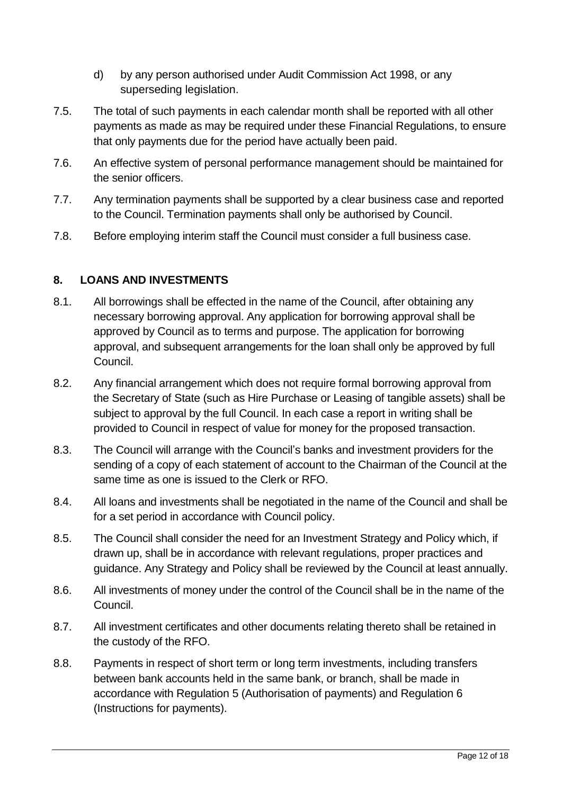- d) by any person authorised under Audit Commission Act 1998, or any superseding legislation.
- 7.5. The total of such payments in each calendar month shall be reported with all other payments as made as may be required under these Financial Regulations, to ensure that only payments due for the period have actually been paid.
- 7.6. An effective system of personal performance management should be maintained for the senior officers.
- 7.7. Any termination payments shall be supported by a clear business case and reported to the Council. Termination payments shall only be authorised by Council.
- 7.8. Before employing interim staff the Council must consider a full business case.

# <span id="page-11-0"></span>**8. LOANS AND INVESTMENTS**

- 8.1. All borrowings shall be effected in the name of the Council, after obtaining any necessary borrowing approval. Any application for borrowing approval shall be approved by Council as to terms and purpose. The application for borrowing approval, and subsequent arrangements for the loan shall only be approved by full Council.
- 8.2. Any financial arrangement which does not require formal borrowing approval from the Secretary of State (such as Hire Purchase or Leasing of tangible assets) shall be subject to approval by the full Council. In each case a report in writing shall be provided to Council in respect of value for money for the proposed transaction.
- 8.3. The Council will arrange with the Council's banks and investment providers for the sending of a copy of each statement of account to the Chairman of the Council at the same time as one is issued to the Clerk or RFO.
- 8.4. All loans and investments shall be negotiated in the name of the Council and shall be for a set period in accordance with Council policy.
- 8.5. The Council shall consider the need for an Investment Strategy and Policy which, if drawn up, shall be in accordance with relevant regulations, proper practices and guidance. Any Strategy and Policy shall be reviewed by the Council at least annually.
- 8.6. All investments of money under the control of the Council shall be in the name of the Council.
- 8.7. All investment certificates and other documents relating thereto shall be retained in the custody of the RFO.
- 8.8. Payments in respect of short term or long term investments, including transfers between bank accounts held in the same bank, or branch, shall be made in accordance with Regulation 5 (Authorisation of payments) and Regulation 6 (Instructions for payments).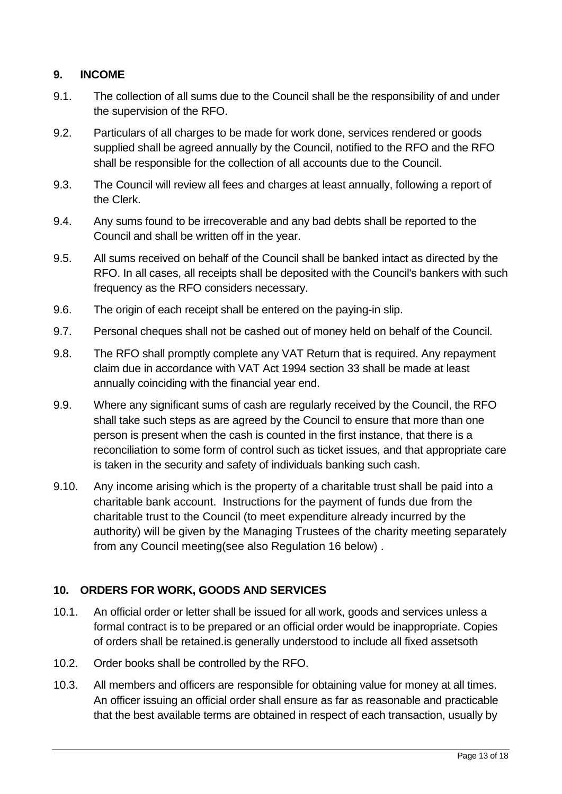# <span id="page-12-0"></span>**9. INCOME**

- 9.1. The collection of all sums due to the Council shall be the responsibility of and under the supervision of the RFO.
- 9.2. Particulars of all charges to be made for work done, services rendered or goods supplied shall be agreed annually by the Council, notified to the RFO and the RFO shall be responsible for the collection of all accounts due to the Council.
- 9.3. The Council will review all fees and charges at least annually, following a report of the Clerk.
- 9.4. Any sums found to be irrecoverable and any bad debts shall be reported to the Council and shall be written off in the year.
- 9.5. All sums received on behalf of the Council shall be banked intact as directed by the RFO. In all cases, all receipts shall be deposited with the Council's bankers with such frequency as the RFO considers necessary.
- 9.6. The origin of each receipt shall be entered on the paying-in slip.
- 9.7. Personal cheques shall not be cashed out of money held on behalf of the Council.
- 9.8. The RFO shall promptly complete any VAT Return that is required. Any repayment claim due in accordance with VAT Act 1994 section 33 shall be made at least annually coinciding with the financial year end.
- 9.9. Where any significant sums of cash are regularly received by the Council, the RFO shall take such steps as are agreed by the Council to ensure that more than one person is present when the cash is counted in the first instance, that there is a reconciliation to some form of control such as ticket issues, and that appropriate care is taken in the security and safety of individuals banking such cash.
- 9.10. Any income arising which is the property of a charitable trust shall be paid into a charitable bank account. Instructions for the payment of funds due from the charitable trust to the Council (to meet expenditure already incurred by the authority) will be given by the Managing Trustees of the charity meeting separately from any Council meeting(see also Regulation 16 below) .

#### <span id="page-12-1"></span>**10. ORDERS FOR WORK, GOODS AND SERVICES**

- 10.1. An official order or letter shall be issued for all work, goods and services unless a formal contract is to be prepared or an official order would be inappropriate. Copies of orders shall be retained.is generally understood to include all fixed assetsoth
- 10.2. Order books shall be controlled by the RFO.
- 10.3. All members and officers are responsible for obtaining value for money at all times. An officer issuing an official order shall ensure as far as reasonable and practicable that the best available terms are obtained in respect of each transaction, usually by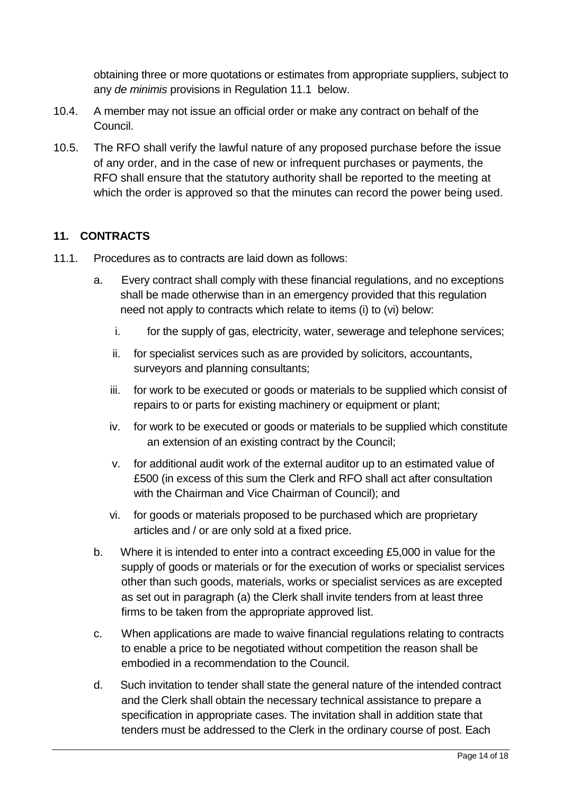obtaining three or more quotations or estimates from appropriate suppliers, subject to any *de minimis* provisions in Regulation 11.1 below.

- 10.4. A member may not issue an official order or make any contract on behalf of the Council.
- 10.5. The RFO shall verify the lawful nature of any proposed purchase before the issue of any order, and in the case of new or infrequent purchases or payments, the RFO shall ensure that the statutory authority shall be reported to the meeting at which the order is approved so that the minutes can record the power being used.

# <span id="page-13-0"></span>**11. CONTRACTS**

- 11.1. Procedures as to contracts are laid down as follows:
	- a. Every contract shall comply with these financial regulations, and no exceptions shall be made otherwise than in an emergency provided that this regulation need not apply to contracts which relate to items (i) to (vi) below:
		- i. for the supply of gas, electricity, water, sewerage and telephone services;
		- ii. for specialist services such as are provided by solicitors, accountants, surveyors and planning consultants;
		- iii. for work to be executed or goods or materials to be supplied which consist of repairs to or parts for existing machinery or equipment or plant;
		- iv. for work to be executed or goods or materials to be supplied which constitute an extension of an existing contract by the Council;
		- v. for additional audit work of the external auditor up to an estimated value of £500 (in excess of this sum the Clerk and RFO shall act after consultation with the Chairman and Vice Chairman of Council); and
		- vi. for goods or materials proposed to be purchased which are proprietary articles and / or are only sold at a fixed price.
	- b. Where it is intended to enter into a contract exceeding £5,000 in value for the supply of goods or materials or for the execution of works or specialist services other than such goods, materials, works or specialist services as are excepted as set out in paragraph (a) the Clerk shall invite tenders from at least three firms to be taken from the appropriate approved list.
	- c. When applications are made to waive financial regulations relating to contracts to enable a price to be negotiated without competition the reason shall be embodied in a recommendation to the Council.
	- d. Such invitation to tender shall state the general nature of the intended contract and the Clerk shall obtain the necessary technical assistance to prepare a specification in appropriate cases. The invitation shall in addition state that tenders must be addressed to the Clerk in the ordinary course of post. Each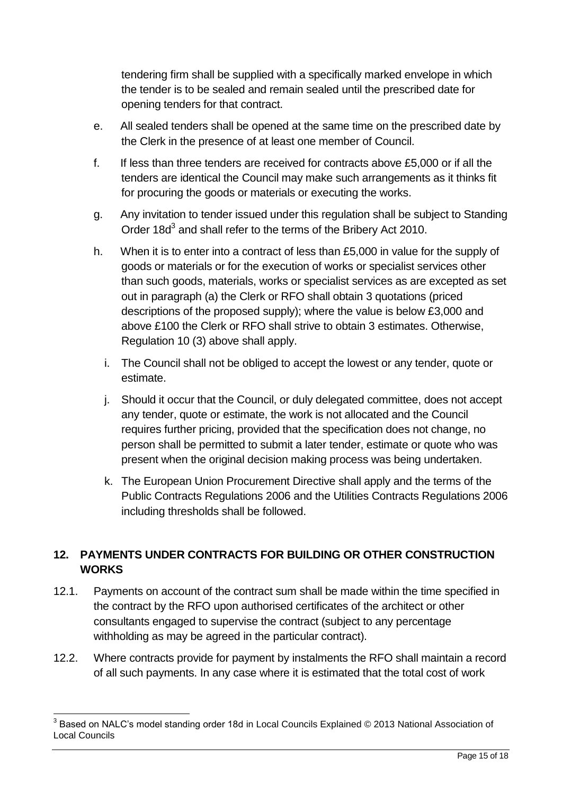tendering firm shall be supplied with a specifically marked envelope in which the tender is to be sealed and remain sealed until the prescribed date for opening tenders for that contract.

- e. All sealed tenders shall be opened at the same time on the prescribed date by the Clerk in the presence of at least one member of Council.
- f. If less than three tenders are received for contracts above £5,000 or if all the tenders are identical the Council may make such arrangements as it thinks fit for procuring the goods or materials or executing the works.
- g. Any invitation to tender issued under this regulation shall be subject to Standing Order 18d<sup>3</sup> and shall refer to the terms of the Bribery Act 2010.
- h. When it is to enter into a contract of less than £5,000 in value for the supply of goods or materials or for the execution of works or specialist services other than such goods, materials, works or specialist services as are excepted as set out in paragraph (a) the Clerk or RFO shall obtain 3 quotations (priced descriptions of the proposed supply); where the value is below £3,000 and above £100 the Clerk or RFO shall strive to obtain 3 estimates. Otherwise, Regulation 10 (3) above shall apply.
	- i. The Council shall not be obliged to accept the lowest or any tender, quote or estimate.
	- j. Should it occur that the Council, or duly delegated committee, does not accept any tender, quote or estimate, the work is not allocated and the Council requires further pricing, provided that the specification does not change, no person shall be permitted to submit a later tender, estimate or quote who was present when the original decision making process was being undertaken.
	- k. The European Union Procurement Directive shall apply and the terms of the Public Contracts Regulations 2006 and the Utilities Contracts Regulations 2006 including thresholds shall be followed.

# <span id="page-14-0"></span>**12. PAYMENTS UNDER CONTRACTS FOR BUILDING OR OTHER CONSTRUCTION WORKS**

- 12.1. Payments on account of the contract sum shall be made within the time specified in the contract by the RFO upon authorised certificates of the architect or other consultants engaged to supervise the contract (subject to any percentage withholding as may be agreed in the particular contract).
- 12.2. Where contracts provide for payment by instalments the RFO shall maintain a record of all such payments. In any case where it is estimated that the total cost of work

\_\_\_\_\_\_\_\_\_\_\_\_\_\_\_\_\_\_\_\_\_\_\_\_\_\_\_\_\_\_\_\_\_\_\_<br><sup>3</sup> Based on NALC's model standing order 18d in Local Councils Explained © 2013 National Association of Local Councils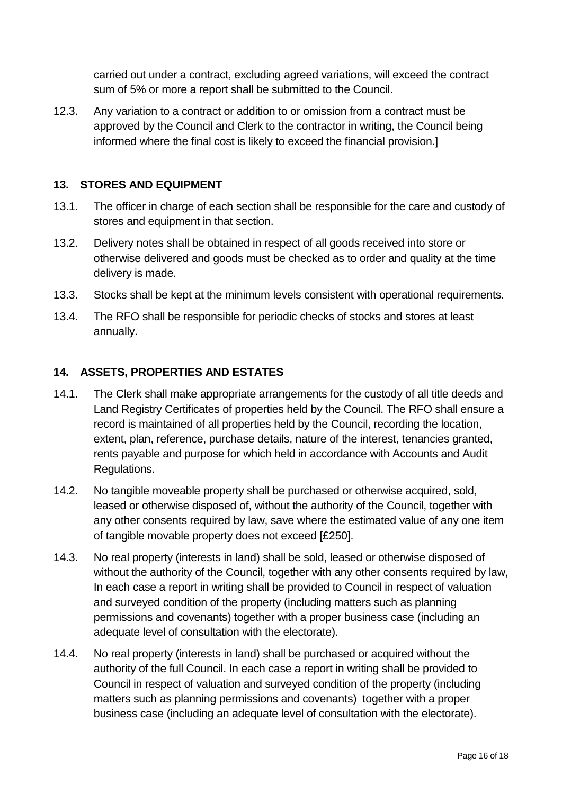carried out under a contract, excluding agreed variations, will exceed the contract sum of 5% or more a report shall be submitted to the Council.

12.3. Any variation to a contract or addition to or omission from a contract must be approved by the Council and Clerk to the contractor in writing, the Council being informed where the final cost is likely to exceed the financial provision.]

# <span id="page-15-0"></span>**13. STORES AND EQUIPMENT**

- 13.1. The officer in charge of each section shall be responsible for the care and custody of stores and equipment in that section.
- 13.2. Delivery notes shall be obtained in respect of all goods received into store or otherwise delivered and goods must be checked as to order and quality at the time delivery is made.
- 13.3. Stocks shall be kept at the minimum levels consistent with operational requirements.
- 13.4. The RFO shall be responsible for periodic checks of stocks and stores at least annually.

# <span id="page-15-1"></span>**14. ASSETS, PROPERTIES AND ESTATES**

- 14.1. The Clerk shall make appropriate arrangements for the custody of all title deeds and Land Registry Certificates of properties held by the Council. The RFO shall ensure a record is maintained of all properties held by the Council, recording the location, extent, plan, reference, purchase details, nature of the interest, tenancies granted, rents payable and purpose for which held in accordance with Accounts and Audit Regulations.
- 14.2. No tangible moveable property shall be purchased or otherwise acquired, sold, leased or otherwise disposed of, without the authority of the Council, together with any other consents required by law, save where the estimated value of any one item of tangible movable property does not exceed [£250].
- 14.3. No real property (interests in land) shall be sold, leased or otherwise disposed of without the authority of the Council, together with any other consents required by law, In each case a report in writing shall be provided to Council in respect of valuation and surveyed condition of the property (including matters such as planning permissions and covenants) together with a proper business case (including an adequate level of consultation with the electorate).
- 14.4. No real property (interests in land) shall be purchased or acquired without the authority of the full Council. In each case a report in writing shall be provided to Council in respect of valuation and surveyed condition of the property (including matters such as planning permissions and covenants) together with a proper business case (including an adequate level of consultation with the electorate).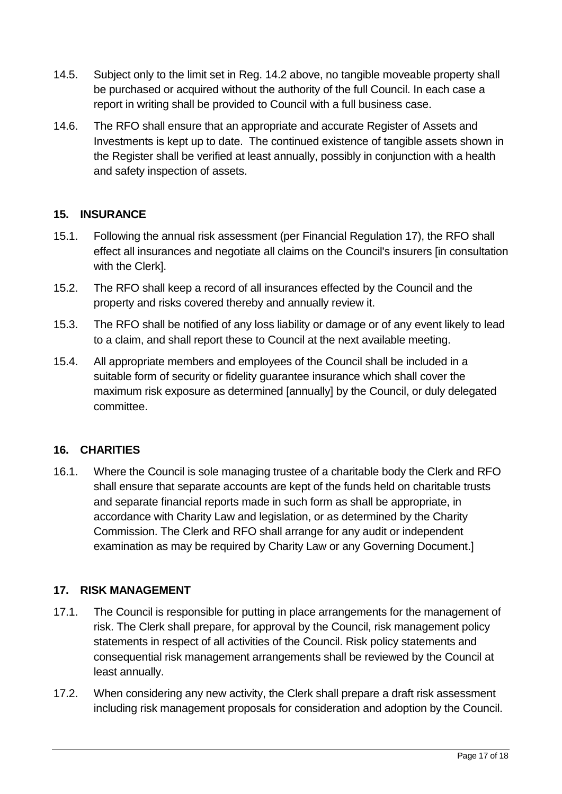- 14.5. Subject only to the limit set in Reg. 14.2 above, no tangible moveable property shall be purchased or acquired without the authority of the full Council. In each case a report in writing shall be provided to Council with a full business case.
- 14.6. The RFO shall ensure that an appropriate and accurate Register of Assets and Investments is kept up to date. The continued existence of tangible assets shown in the Register shall be verified at least annually, possibly in conjunction with a health and safety inspection of assets.

# <span id="page-16-0"></span>**15. INSURANCE**

- 15.1. Following the annual risk assessment (per Financial Regulation 17), the RFO shall effect all insurances and negotiate all claims on the Council's insurers [in consultation with the Clerk].
- 15.2. The RFO shall keep a record of all insurances effected by the Council and the property and risks covered thereby and annually review it.
- 15.3. The RFO shall be notified of any loss liability or damage or of any event likely to lead to a claim, and shall report these to Council at the next available meeting.
- 15.4. All appropriate members and employees of the Council shall be included in a suitable form of security or fidelity guarantee insurance which shall cover the maximum risk exposure as determined [annually] by the Council, or duly delegated committee.

#### <span id="page-16-1"></span>**16. CHARITIES**

16.1. Where the Council is sole managing trustee of a charitable body the Clerk and RFO shall ensure that separate accounts are kept of the funds held on charitable trusts and separate financial reports made in such form as shall be appropriate, in accordance with Charity Law and legislation, or as determined by the Charity Commission. The Clerk and RFO shall arrange for any audit or independent examination as may be required by Charity Law or any Governing Document.]

#### <span id="page-16-2"></span>**17. RISK MANAGEMENT**

- 17.1. The Council is responsible for putting in place arrangements for the management of risk. The Clerk shall prepare, for approval by the Council, risk management policy statements in respect of all activities of the Council. Risk policy statements and consequential risk management arrangements shall be reviewed by the Council at least annually.
- 17.2. When considering any new activity, the Clerk shall prepare a draft risk assessment including risk management proposals for consideration and adoption by the Council.